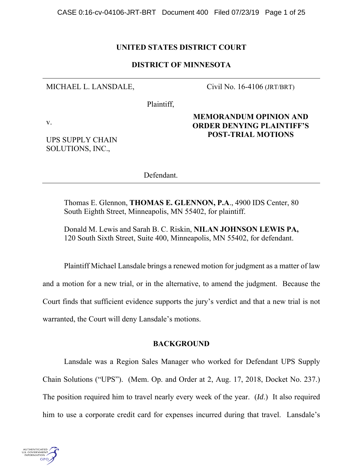## **UNITED STATES DISTRICT COURT**

## **DISTRICT OF MINNESOTA**

MICHAEL L. LANSDALE,

Civil No. 16-4106 (JRT/BRT)

Plaintiff,

v.

UPS SUPPLY CHAIN SOLUTIONS, INC.,

**MEMORANDUM OPINION AND ORDER DENYING PLAINTIFF'S POST-TRIAL MOTIONS** 

Defendant.

Thomas E. Glennon, **THOMAS E. GLENNON, P.A**., 4900 IDS Center, 80 South Eighth Street, Minneapolis, MN 55402, for plaintiff.

Donald M. Lewis and Sarah B. C. Riskin, **NILAN JOHNSON LEWIS PA,**  120 South Sixth Street, Suite 400, Minneapolis, MN 55402, for defendant.

Plaintiff Michael Lansdale brings a renewed motion for judgment as a matter of law and a motion for a new trial, or in the alternative, to amend the judgment. Because the Court finds that sufficient evidence supports the jury's verdict and that a new trial is not warranted, the Court will deny Lansdale's motions.

### **BACKGROUND**

Lansdale was a Region Sales Manager who worked for Defendant UPS Supply Chain Solutions ("UPS"). (Mem. Op. and Order at 2, Aug. 17, 2018, Docket No. 237.) The position required him to travel nearly every week of the year. (*Id*.) It also required him to use a corporate credit card for expenses incurred during that travel. Lansdale's

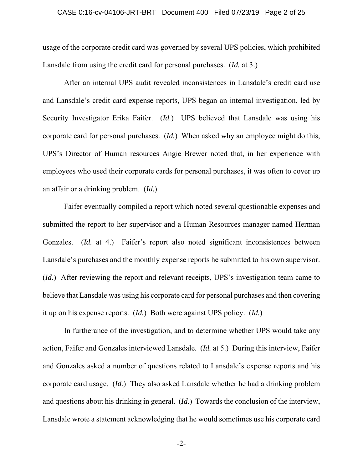#### CASE 0:16-cv-04106-JRT-BRT Document 400 Filed 07/23/19 Page 2 of 25

usage of the corporate credit card was governed by several UPS policies, which prohibited Lansdale from using the credit card for personal purchases. (*Id.* at 3.)

After an internal UPS audit revealed inconsistences in Lansdale's credit card use and Lansdale's credit card expense reports, UPS began an internal investigation, led by Security Investigator Erika Faifer. (*Id.*) UPS believed that Lansdale was using his corporate card for personal purchases. (*Id.*) When asked why an employee might do this, UPS's Director of Human resources Angie Brewer noted that, in her experience with employees who used their corporate cards for personal purchases, it was often to cover up an affair or a drinking problem. (*Id.*)

Faifer eventually compiled a report which noted several questionable expenses and submitted the report to her supervisor and a Human Resources manager named Herman Gonzales. (*Id.* at 4.) Faifer's report also noted significant inconsistences between Lansdale's purchases and the monthly expense reports he submitted to his own supervisor. (*Id.*) After reviewing the report and relevant receipts, UPS's investigation team came to believe that Lansdale was using his corporate card for personal purchases and then covering it up on his expense reports. (*Id.*) Both were against UPS policy. (*Id.*)

In furtherance of the investigation, and to determine whether UPS would take any action, Faifer and Gonzales interviewed Lansdale. (*Id.* at 5.) During this interview, Faifer and Gonzales asked a number of questions related to Lansdale's expense reports and his corporate card usage. (*Id.*) They also asked Lansdale whether he had a drinking problem and questions about his drinking in general. (*Id.*) Towards the conclusion of the interview, Lansdale wrote a statement acknowledging that he would sometimes use his corporate card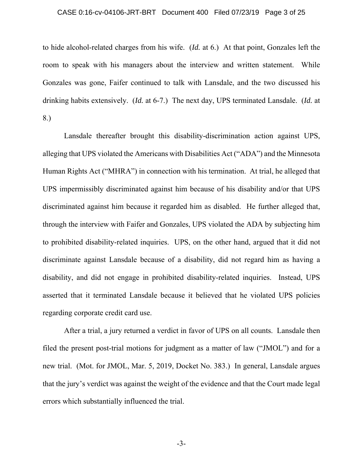#### CASE 0:16-cv-04106-JRT-BRT Document 400 Filed 07/23/19 Page 3 of 25

to hide alcohol-related charges from his wife. (*Id.* at 6.) At that point, Gonzales left the room to speak with his managers about the interview and written statement. While Gonzales was gone, Faifer continued to talk with Lansdale, and the two discussed his drinking habits extensively. (*Id.* at 6-7.) The next day, UPS terminated Lansdale. (*Id.* at 8.)

Lansdale thereafter brought this disability-discrimination action against UPS, alleging that UPS violated the Americans with Disabilities Act ("ADA") and the Minnesota Human Rights Act ("MHRA") in connection with his termination. At trial, he alleged that UPS impermissibly discriminated against him because of his disability and/or that UPS discriminated against him because it regarded him as disabled. He further alleged that, through the interview with Faifer and Gonzales, UPS violated the ADA by subjecting him to prohibited disability-related inquiries. UPS, on the other hand, argued that it did not discriminate against Lansdale because of a disability, did not regard him as having a disability, and did not engage in prohibited disability-related inquiries. Instead, UPS asserted that it terminated Lansdale because it believed that he violated UPS policies regarding corporate credit card use.

After a trial, a jury returned a verdict in favor of UPS on all counts. Lansdale then filed the present post-trial motions for judgment as a matter of law ("JMOL") and for a new trial. (Mot. for JMOL, Mar. 5, 2019, Docket No. 383.) In general, Lansdale argues that the jury's verdict was against the weight of the evidence and that the Court made legal errors which substantially influenced the trial.

-3-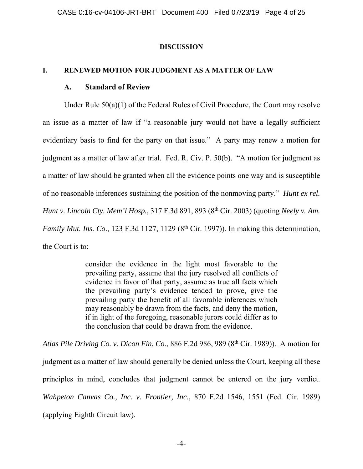### **DISCUSSION**

## **I. RENEWED MOTION FOR JUDGMENT AS A MATTER OF LAW**

## **A. Standard of Review**

Under Rule 50(a)(1) of the Federal Rules of Civil Procedure, the Court may resolve an issue as a matter of law if "a reasonable jury would not have a legally sufficient evidentiary basis to find for the party on that issue." A party may renew a motion for judgment as a matter of law after trial. Fed. R. Civ. P. 50(b). "A motion for judgment as a matter of law should be granted when all the evidence points one way and is susceptible of no reasonable inferences sustaining the position of the nonmoving party." *Hunt ex rel. Hunt v. Lincoln Cty. Mem'l Hosp.*, 317 F.3d 891, 893 (8<sup>th</sup> Cir. 2003) (quoting *Neely v. Am. Family Mut. Ins. Co.*, 123 F.3d 1127, 1129 (8<sup>th</sup> Cir. 1997)). In making this determination, the Court is to:

> consider the evidence in the light most favorable to the prevailing party, assume that the jury resolved all conflicts of evidence in favor of that party, assume as true all facts which the prevailing party's evidence tended to prove, give the prevailing party the benefit of all favorable inferences which may reasonably be drawn from the facts, and deny the motion, if in light of the foregoing, reasonable jurors could differ as to the conclusion that could be drawn from the evidence.

*Atlas Pile Driving Co. v. Dicon Fin. Co*., 886 F.2d 986, 989 (8th Cir. 1989)). A motion for judgment as a matter of law should generally be denied unless the Court, keeping all these principles in mind, concludes that judgment cannot be entered on the jury verdict. *Wahpeton Canvas Co., Inc. v. Frontier, Inc*., 870 F.2d 1546, 1551 (Fed. Cir. 1989) (applying Eighth Circuit law).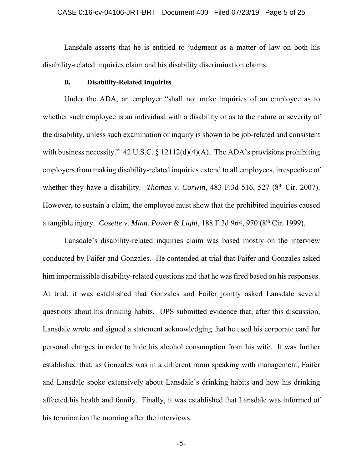## CASE 0:16-cv-04106-JRT-BRT Document 400 Filed 07/23/19 Page 5 of 25

 Lansdale asserts that he is entitled to judgment as a matter of law on both his disability-related inquiries claim and his disability discrimination claims.

### **B. Disability-Related Inquiries**

Under the ADA, an employer "shall not make inquiries of an employee as to whether such employee is an individual with a disability or as to the nature or severity of the disability, unless such examination or inquiry is shown to be job-related and consistent with business necessity." 42 U.S.C. § 12112(d)(4)(A). The ADA's provisions prohibiting employers from making disability-related inquiries extend to all employees, irrespective of whether they have a disability. *Thomas v. Corwin*, 483 F.3d 516, 527 (8<sup>th</sup> Cir. 2007). However, to sustain a claim, the employee must show that the prohibited inquiries caused a tangible injury. *Cosette v. Minn. Power & Light*, 188 F.3d 964, 970 (8th Cir. 1999).

Lansdale's disability-related inquiries claim was based mostly on the interview conducted by Faifer and Gonzales. He contended at trial that Faifer and Gonzales asked him impermissible disability-related questions and that he was fired based on his responses. At trial, it was established that Gonzales and Faifer jointly asked Lansdale several questions about his drinking habits. UPS submitted evidence that, after this discussion, Lansdale wrote and signed a statement acknowledging that he used his corporate card for personal charges in order to hide his alcohol consumption from his wife. It was further established that, as Gonzales was in a different room speaking with management, Faifer and Lansdale spoke extensively about Lansdale's drinking habits and how his drinking affected his health and family. Finally, it was established that Lansdale was informed of his termination the morning after the interviews.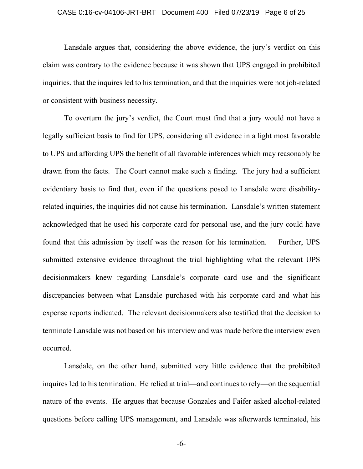## CASE 0:16-cv-04106-JRT-BRT Document 400 Filed 07/23/19 Page 6 of 25

Lansdale argues that, considering the above evidence, the jury's verdict on this claim was contrary to the evidence because it was shown that UPS engaged in prohibited inquiries, that the inquires led to his termination, and that the inquiries were not job-related or consistent with business necessity.

To overturn the jury's verdict, the Court must find that a jury would not have a legally sufficient basis to find for UPS, considering all evidence in a light most favorable to UPS and affording UPS the benefit of all favorable inferences which may reasonably be drawn from the facts. The Court cannot make such a finding. The jury had a sufficient evidentiary basis to find that, even if the questions posed to Lansdale were disabilityrelated inquiries, the inquiries did not cause his termination. Lansdale's written statement acknowledged that he used his corporate card for personal use, and the jury could have found that this admission by itself was the reason for his termination. Further, UPS submitted extensive evidence throughout the trial highlighting what the relevant UPS decisionmakers knew regarding Lansdale's corporate card use and the significant discrepancies between what Lansdale purchased with his corporate card and what his expense reports indicated. The relevant decisionmakers also testified that the decision to terminate Lansdale was not based on his interview and was made before the interview even occurred.

Lansdale, on the other hand, submitted very little evidence that the prohibited inquires led to his termination. He relied at trial—and continues to rely—on the sequential nature of the events. He argues that because Gonzales and Faifer asked alcohol-related questions before calling UPS management, and Lansdale was afterwards terminated, his

-6-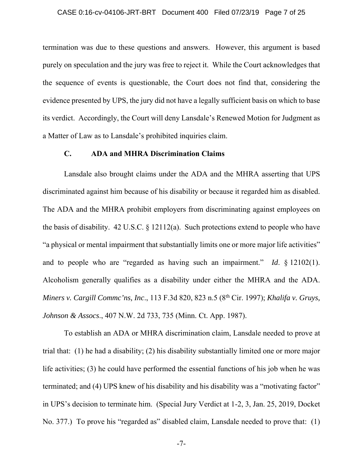#### CASE 0:16-cv-04106-JRT-BRT Document 400 Filed 07/23/19 Page 7 of 25

termination was due to these questions and answers. However, this argument is based purely on speculation and the jury was free to reject it. While the Court acknowledges that the sequence of events is questionable, the Court does not find that, considering the evidence presented by UPS, the jury did not have a legally sufficient basis on which to base its verdict. Accordingly, the Court will deny Lansdale's Renewed Motion for Judgment as a Matter of Law as to Lansdale's prohibited inquiries claim.

## **C. ADA and MHRA Discrimination Claims**

Lansdale also brought claims under the ADA and the MHRA asserting that UPS discriminated against him because of his disability or because it regarded him as disabled. The ADA and the MHRA prohibit employers from discriminating against employees on the basis of disability. 42 U.S.C. § 12112(a). Such protections extend to people who have "a physical or mental impairment that substantially limits one or more major life activities" and to people who are "regarded as having such an impairment." *Id*. § 12102(1). Alcoholism generally qualifies as a disability under either the MHRA and the ADA. *Miners v. Cargill Commc'ns, Inc*., 113 F.3d 820, 823 n.5 (8th Cir. 1997); *Khalifa v. Gruys, Johnson & Assocs*., 407 N.W. 2d 733, 735 (Minn. Ct. App. 1987).

To establish an ADA or MHRA discrimination claim, Lansdale needed to prove at trial that: (1) he had a disability; (2) his disability substantially limited one or more major life activities; (3) he could have performed the essential functions of his job when he was terminated; and (4) UPS knew of his disability and his disability was a "motivating factor" in UPS's decision to terminate him. (Special Jury Verdict at 1-2, 3, Jan. 25, 2019, Docket No. 377.) To prove his "regarded as" disabled claim, Lansdale needed to prove that: (1)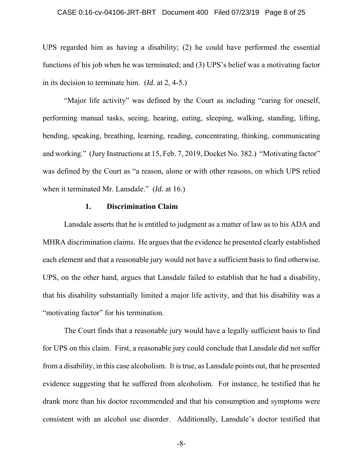### CASE 0:16-cv-04106-JRT-BRT Document 400 Filed 07/23/19 Page 8 of 25

UPS regarded him as having a disability; (2) he could have performed the essential functions of his job when he was terminated; and (3) UPS's belief was a motivating factor in its decision to terminate him. (*Id.* at 2, 4-5.)

"Major life activity" was defined by the Court as including "caring for oneself, performing manual tasks, seeing, hearing, eating, sleeping, walking, standing, lifting, bending, speaking, breathing, learning, reading, concentrating, thinking, communicating and working." (Jury Instructions at 15, Feb. 7, 2019, Docket No. 382.) "Motivating factor" was defined by the Court as "a reason, alone or with other reasons, on which UPS relied when it terminated Mr. Lansdale." (*Id.* at 16.)

## **1. Discrimination Claim**

Lansdale asserts that he is entitled to judgment as a matter of law as to his ADA and MHRA discrimination claims. He argues that the evidence he presented clearly established each element and that a reasonable jury would not have a sufficient basis to find otherwise. UPS, on the other hand, argues that Lansdale failed to establish that he had a disability, that his disability substantially limited a major life activity, and that his disability was a "motivating factor" for his termination.

The Court finds that a reasonable jury would have a legally sufficient basis to find for UPS on this claim. First, a reasonable jury could conclude that Lansdale did not suffer from a disability, in this case alcoholism. It is true, as Lansdale points out, that he presented evidence suggesting that he suffered from alcoholism. For instance, he testified that he drank more than his doctor recommended and that his consumption and symptoms were consistent with an alcohol use disorder. Additionally, Lansdale's doctor testified that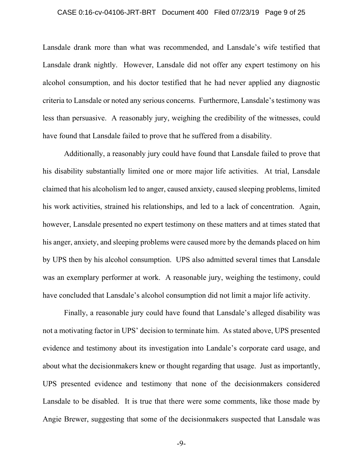#### CASE 0:16-cv-04106-JRT-BRT Document 400 Filed 07/23/19 Page 9 of 25

Lansdale drank more than what was recommended, and Lansdale's wife testified that Lansdale drank nightly. However, Lansdale did not offer any expert testimony on his alcohol consumption, and his doctor testified that he had never applied any diagnostic criteria to Lansdale or noted any serious concerns. Furthermore, Lansdale's testimony was less than persuasive. A reasonably jury, weighing the credibility of the witnesses, could have found that Lansdale failed to prove that he suffered from a disability.

Additionally, a reasonably jury could have found that Lansdale failed to prove that his disability substantially limited one or more major life activities. At trial, Lansdale claimed that his alcoholism led to anger, caused anxiety, caused sleeping problems, limited his work activities, strained his relationships, and led to a lack of concentration. Again, however, Lansdale presented no expert testimony on these matters and at times stated that his anger, anxiety, and sleeping problems were caused more by the demands placed on him by UPS then by his alcohol consumption. UPS also admitted several times that Lansdale was an exemplary performer at work. A reasonable jury, weighing the testimony, could have concluded that Lansdale's alcohol consumption did not limit a major life activity.

Finally, a reasonable jury could have found that Lansdale's alleged disability was not a motivating factor in UPS' decision to terminate him. As stated above, UPS presented evidence and testimony about its investigation into Landale's corporate card usage, and about what the decisionmakers knew or thought regarding that usage. Just as importantly, UPS presented evidence and testimony that none of the decisionmakers considered Lansdale to be disabled. It is true that there were some comments, like those made by Angie Brewer, suggesting that some of the decisionmakers suspected that Lansdale was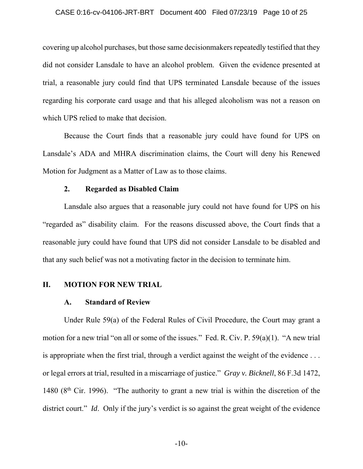#### CASE 0:16-cv-04106-JRT-BRT Document 400 Filed 07/23/19 Page 10 of 25

covering up alcohol purchases, but those same decisionmakers repeatedly testified that they did not consider Lansdale to have an alcohol problem. Given the evidence presented at trial, a reasonable jury could find that UPS terminated Lansdale because of the issues regarding his corporate card usage and that his alleged alcoholism was not a reason on which UPS relied to make that decision.

Because the Court finds that a reasonable jury could have found for UPS on Lansdale's ADA and MHRA discrimination claims, the Court will deny his Renewed Motion for Judgment as a Matter of Law as to those claims.

### **2. Regarded as Disabled Claim**

Lansdale also argues that a reasonable jury could not have found for UPS on his "regarded as" disability claim. For the reasons discussed above, the Court finds that a reasonable jury could have found that UPS did not consider Lansdale to be disabled and that any such belief was not a motivating factor in the decision to terminate him.

### **II. MOTION FOR NEW TRIAL**

### **A. Standard of Review**

Under Rule 59(a) of the Federal Rules of Civil Procedure, the Court may grant a motion for a new trial "on all or some of the issues." Fed. R. Civ. P. 59(a)(1). "A new trial is appropriate when the first trial, through a verdict against the weight of the evidence . . . or legal errors at trial, resulted in a miscarriage of justice." *Gray v. Bicknell*, 86 F.3d 1472, 1480 ( $8<sup>th</sup>$  Cir. 1996). "The authority to grant a new trial is within the discretion of the district court." *Id*. Only if the jury's verdict is so against the great weight of the evidence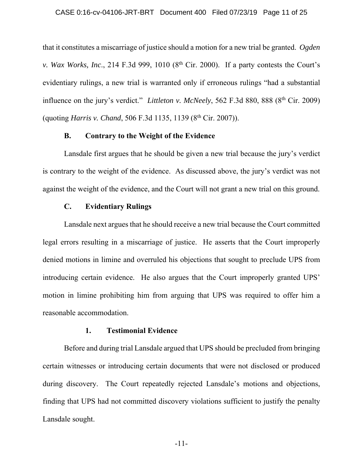that it constitutes a miscarriage of justice should a motion for a new trial be granted. *Ogden v. Wax Works, Inc.*, 214 F.3d 999, 1010 ( $8<sup>th</sup>$  Cir. 2000). If a party contests the Court's evidentiary rulings, a new trial is warranted only if erroneous rulings "had a substantial influence on the jury's verdict." *Littleton v. McNeely*, 562 F.3d 880, 888 (8<sup>th</sup> Cir. 2009) (quoting *Harris v. Chand*, 506 F.3d 1135, 1139 (8<sup>th</sup> Cir. 2007)).

### **B. Contrary to the Weight of the Evidence**

Lansdale first argues that he should be given a new trial because the jury's verdict is contrary to the weight of the evidence. As discussed above, the jury's verdict was not against the weight of the evidence, and the Court will not grant a new trial on this ground.

# **C. Evidentiary Rulings**

Lansdale next argues that he should receive a new trial because the Court committed legal errors resulting in a miscarriage of justice. He asserts that the Court improperly denied motions in limine and overruled his objections that sought to preclude UPS from introducing certain evidence. He also argues that the Court improperly granted UPS' motion in limine prohibiting him from arguing that UPS was required to offer him a reasonable accommodation.

### **1. Testimonial Evidence**

Before and during trial Lansdale argued that UPS should be precluded from bringing certain witnesses or introducing certain documents that were not disclosed or produced during discovery. The Court repeatedly rejected Lansdale's motions and objections, finding that UPS had not committed discovery violations sufficient to justify the penalty Lansdale sought.

-11-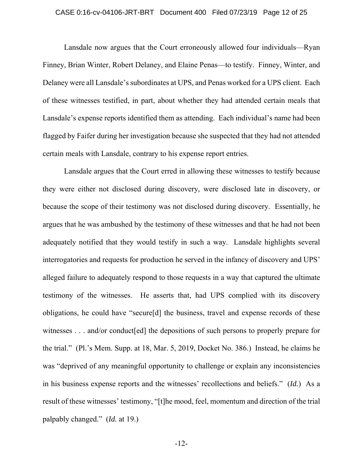#### CASE 0:16-cv-04106-JRT-BRT Document 400 Filed 07/23/19 Page 12 of 25

Lansdale now argues that the Court erroneously allowed four individuals—Ryan Finney, Brian Winter, Robert Delaney, and Elaine Penas—to testify. Finney, Winter, and Delaney were all Lansdale's subordinates at UPS, and Penas worked for a UPS client. Each of these witnesses testified, in part, about whether they had attended certain meals that Lansdale's expense reports identified them as attending. Each individual's name had been flagged by Faifer during her investigation because she suspected that they had not attended certain meals with Lansdale, contrary to his expense report entries.

Lansdale argues that the Court erred in allowing these witnesses to testify because they were either not disclosed during discovery, were disclosed late in discovery, or because the scope of their testimony was not disclosed during discovery. Essentially, he argues that he was ambushed by the testimony of these witnesses and that he had not been adequately notified that they would testify in such a way. Lansdale highlights several interrogatories and requests for production he served in the infancy of discovery and UPS' alleged failure to adequately respond to those requests in a way that captured the ultimate testimony of the witnesses. He asserts that, had UPS complied with its discovery obligations, he could have "secure[d] the business, travel and expense records of these witnesses . . . and/or conduct[ed] the depositions of such persons to properly prepare for the trial." (Pl.'s Mem. Supp. at 18, Mar. 5, 2019, Docket No. 386.) Instead, he claims he was "deprived of any meaningful opportunity to challenge or explain any inconsistencies in his business expense reports and the witnesses' recollections and beliefs." (*Id.*) As a result of these witnesses' testimony, "[t]he mood, feel, momentum and direction of the trial palpably changed." (*Id.* at 19.)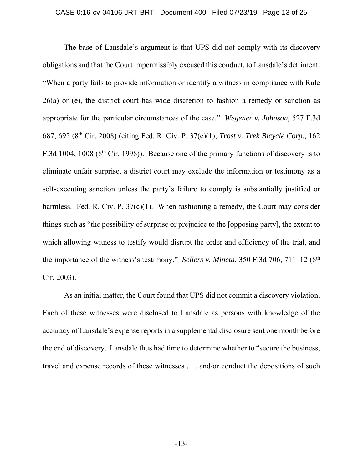#### CASE 0:16-cv-04106-JRT-BRT Document 400 Filed 07/23/19 Page 13 of 25

The base of Lansdale's argument is that UPS did not comply with its discovery obligations and that the Court impermissibly excused this conduct, to Lansdale's detriment. "When a party fails to provide information or identify a witness in compliance with Rule 26(a) or (e), the district court has wide discretion to fashion a remedy or sanction as appropriate for the particular circumstances of the case." *Wegener v. Johnson*, 527 F.3d 687, 692 (8th Cir. 2008) (citing Fed. R. Civ. P. 37(c)(1); *Trost v. Trek Bicycle Corp.,* 162 F.3d 1004, 1008 (8<sup>th</sup> Cir. 1998)). Because one of the primary functions of discovery is to eliminate unfair surprise, a district court may exclude the information or testimony as a self-executing sanction unless the party's failure to comply is substantially justified or harmless. Fed. R. Civ. P.  $37(c)(1)$ . When fashioning a remedy, the Court may consider things such as "the possibility of surprise or prejudice to the [opposing party], the extent to which allowing witness to testify would disrupt the order and efficiency of the trial, and the importance of the witness's testimony." *Sellers v. Mineta*, 350 F.3d 706, 711–12 (8<sup>th</sup>) Cir. 2003).

As an initial matter, the Court found that UPS did not commit a discovery violation. Each of these witnesses were disclosed to Lansdale as persons with knowledge of the accuracy of Lansdale's expense reports in a supplemental disclosure sent one month before the end of discovery. Lansdale thus had time to determine whether to "secure the business, travel and expense records of these witnesses . . . and/or conduct the depositions of such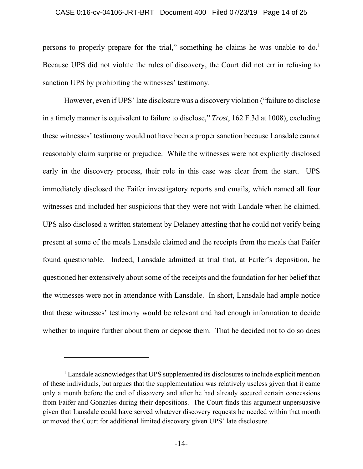#### CASE 0:16-cv-04106-JRT-BRT Document 400 Filed 07/23/19 Page 14 of 25

persons to properly prepare for the trial," something he claims he was unable to do.<sup>1</sup> Because UPS did not violate the rules of discovery, the Court did not err in refusing to sanction UPS by prohibiting the witnesses' testimony.

However, even if UPS' late disclosure was a discovery violation ("failure to disclose in a timely manner is equivalent to failure to disclose," *Trost*, 162 F.3d at 1008), excluding these witnesses' testimony would not have been a proper sanction because Lansdale cannot reasonably claim surprise or prejudice. While the witnesses were not explicitly disclosed early in the discovery process, their role in this case was clear from the start. UPS immediately disclosed the Faifer investigatory reports and emails, which named all four witnesses and included her suspicions that they were not with Landale when he claimed. UPS also disclosed a written statement by Delaney attesting that he could not verify being present at some of the meals Lansdale claimed and the receipts from the meals that Faifer found questionable. Indeed, Lansdale admitted at trial that, at Faifer's deposition, he questioned her extensively about some of the receipts and the foundation for her belief that the witnesses were not in attendance with Lansdale. In short, Lansdale had ample notice that these witnesses' testimony would be relevant and had enough information to decide whether to inquire further about them or depose them. That he decided not to do so does

 $\overline{a}$ 

<sup>&</sup>lt;sup>1</sup> Lansdale acknowledges that UPS supplemented its disclosures to include explicit mention of these individuals, but argues that the supplementation was relatively useless given that it came only a month before the end of discovery and after he had already secured certain concessions from Faifer and Gonzales during their depositions. The Court finds this argument unpersuasive given that Lansdale could have served whatever discovery requests he needed within that month or moved the Court for additional limited discovery given UPS' late disclosure.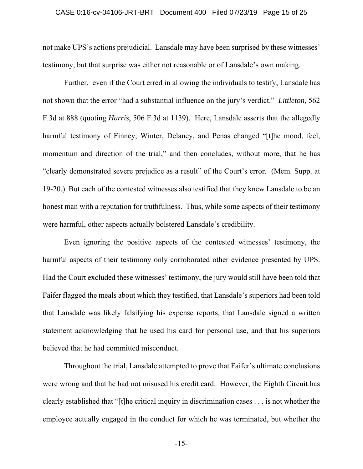#### CASE 0:16-cv-04106-JRT-BRT Document 400 Filed 07/23/19 Page 15 of 25

not make UPS's actions prejudicial. Lansdale may have been surprised by these witnesses' testimony, but that surprise was either not reasonable or of Lansdale's own making.

Further, even if the Court erred in allowing the individuals to testify, Lansdale has not shown that the error "had a substantial influence on the jury's verdict." *Littleton*, 562 F.3d at 888 (quoting *Harris*, 506 F.3d at 1139). Here, Lansdale asserts that the allegedly harmful testimony of Finney, Winter, Delaney, and Penas changed "[t]he mood, feel, momentum and direction of the trial," and then concludes, without more, that he has "clearly demonstrated severe prejudice as a result" of the Court's error. (Mem. Supp. at 19-20.) But each of the contested witnesses also testified that they knew Lansdale to be an honest man with a reputation for truthfulness. Thus, while some aspects of their testimony were harmful, other aspects actually bolstered Lansdale's credibility.

Even ignoring the positive aspects of the contested witnesses' testimony, the harmful aspects of their testimony only corroborated other evidence presented by UPS. Had the Court excluded these witnesses' testimony, the jury would still have been told that Faifer flagged the meals about which they testified, that Lansdale's superiors had been told that Lansdale was likely falsifying his expense reports, that Lansdale signed a written statement acknowledging that he used his card for personal use, and that his superiors believed that he had committed misconduct.

Throughout the trial, Lansdale attempted to prove that Faifer's ultimate conclusions were wrong and that he had not misused his credit card. However, the Eighth Circuit has clearly established that "[t]he critical inquiry in discrimination cases . . . is not whether the employee actually engaged in the conduct for which he was terminated, but whether the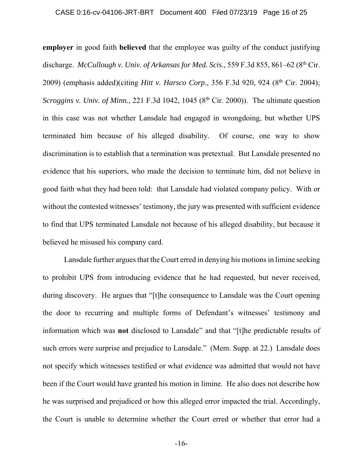#### CASE 0:16-cv-04106-JRT-BRT Document 400 Filed 07/23/19 Page 16 of 25

**employer** in good faith **believed** that the employee was guilty of the conduct justifying discharge. *McCullough v. Univ. of Arkansas for Med. Scis.*, 559 F.3d 855, 861–62 (8<sup>th</sup> Cir. 2009) (emphasis added)(citing *Hitt v. Harsco Corp*., 356 F.3d 920, 924 (8th Cir. 2004); *Scroggins v. Univ. of Minn.*, 221 F.3d 1042, 1045 (8<sup>th</sup> Cir. 2000)). The ultimate question in this case was not whether Lansdale had engaged in wrongdoing, but whether UPS terminated him because of his alleged disability. Of course, one way to show discrimination is to establish that a termination was pretextual. But Lansdale presented no evidence that his superiors, who made the decision to terminate him, did not believe in good faith what they had been told: that Lansdale had violated company policy. With or without the contested witnesses' testimony, the jury was presented with sufficient evidence to find that UPS terminated Lansdale not because of his alleged disability, but because it believed he misused his company card.

Lansdale further argues that the Court erred in denying his motions in limine seeking to prohibit UPS from introducing evidence that he had requested, but never received, during discovery. He argues that "[t]he consequence to Lansdale was the Court opening the door to recurring and multiple forms of Defendant's witnesses' testimony and information which was **not** disclosed to Lansdale" and that "[t]he predictable results of such errors were surprise and prejudice to Lansdale." (Mem. Supp. at 22.) Lansdale does not specify which witnesses testified or what evidence was admitted that would not have been if the Court would have granted his motion in limine. He also does not describe how he was surprised and prejudiced or how this alleged error impacted the trial. Accordingly, the Court is unable to determine whether the Court erred or whether that error had a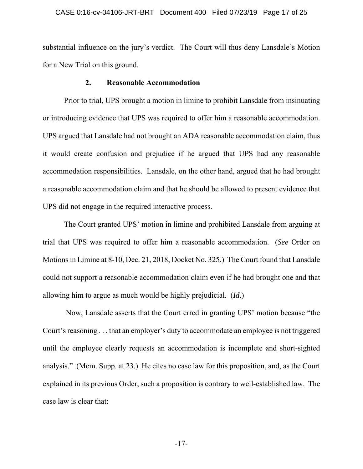#### CASE 0:16-cv-04106-JRT-BRT Document 400 Filed 07/23/19 Page 17 of 25

substantial influence on the jury's verdict. The Court will thus deny Lansdale's Motion for a New Trial on this ground.

## **2. Reasonable Accommodation**

Prior to trial, UPS brought a motion in limine to prohibit Lansdale from insinuating or introducing evidence that UPS was required to offer him a reasonable accommodation. UPS argued that Lansdale had not brought an ADA reasonable accommodation claim, thus it would create confusion and prejudice if he argued that UPS had any reasonable accommodation responsibilities. Lansdale, on the other hand, argued that he had brought a reasonable accommodation claim and that he should be allowed to present evidence that UPS did not engage in the required interactive process.

The Court granted UPS' motion in limine and prohibited Lansdale from arguing at trial that UPS was required to offer him a reasonable accommodation. (*See* Order on Motions in Limine at 8-10, Dec. 21, 2018, Docket No. 325.) The Court found that Lansdale could not support a reasonable accommodation claim even if he had brought one and that allowing him to argue as much would be highly prejudicial. (*Id.*)

 Now, Lansdale asserts that the Court erred in granting UPS' motion because "the Court's reasoning . . . that an employer's duty to accommodate an employee is not triggered until the employee clearly requests an accommodation is incomplete and short-sighted analysis." (Mem. Supp. at 23.) He cites no case law for this proposition, and, as the Court explained in its previous Order, such a proposition is contrary to well-established law. The case law is clear that: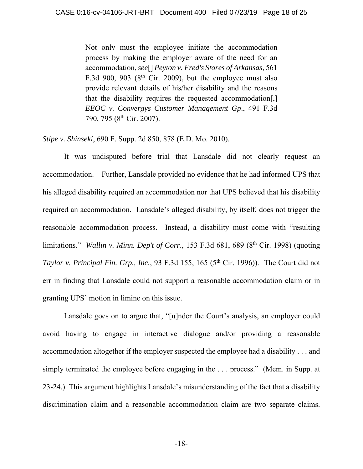Not only must the employee initiate the accommodation process by making the employer aware of the need for an accommodation, *see*[] *Peyton v. Fred's Stores of Arkansas*, 561 F.3d 900, 903 ( $8<sup>th</sup>$  Cir. 2009), but the employee must also provide relevant details of his/her disability and the reasons that the disability requires the requested accommodation[,] *EEOC v. Convergys Customer Management Gp*., 491 F.3d 790, 795 (8<sup>th</sup> Cir. 2007).

*Stipe v. Shinseki*, 690 F. Supp. 2d 850, 878 (E.D. Mo. 2010).

 It was undisputed before trial that Lansdale did not clearly request an accommodation. Further, Lansdale provided no evidence that he had informed UPS that his alleged disability required an accommodation nor that UPS believed that his disability required an accommodation. Lansdale's alleged disability, by itself, does not trigger the reasonable accommodation process. Instead, a disability must come with "resulting limitations." *Wallin v. Minn. Dep't of Corr.*, 153 F.3d 681, 689 (8<sup>th</sup> Cir. 1998) (quoting *Taylor v. Principal Fin. Grp., Inc., 93 F.3d 155, 165 (5<sup>th</sup> Cir. 1996)). The Court did not* err in finding that Lansdale could not support a reasonable accommodation claim or in granting UPS' motion in limine on this issue.

 Lansdale goes on to argue that, "[u]nder the Court's analysis, an employer could avoid having to engage in interactive dialogue and/or providing a reasonable accommodation altogether if the employer suspected the employee had a disability . . . and simply terminated the employee before engaging in the ... process." (Mem. in Supp. at 23-24.) This argument highlights Lansdale's misunderstanding of the fact that a disability discrimination claim and a reasonable accommodation claim are two separate claims.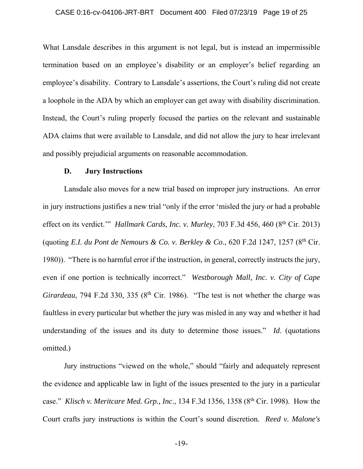## CASE 0:16-cv-04106-JRT-BRT Document 400 Filed 07/23/19 Page 19 of 25

What Lansdale describes in this argument is not legal, but is instead an impermissible termination based on an employee's disability or an employer's belief regarding an employee's disability. Contrary to Lansdale's assertions, the Court's ruling did not create a loophole in the ADA by which an employer can get away with disability discrimination. Instead, the Court's ruling properly focused the parties on the relevant and sustainable ADA claims that were available to Lansdale, and did not allow the jury to hear irrelevant and possibly prejudicial arguments on reasonable accommodation.

### **D. Jury Instructions**

Lansdale also moves for a new trial based on improper jury instructions. An error in jury instructions justifies a new trial "only if the error 'misled the jury or had a probable effect on its verdict.'" *Hallmark Cards, Inc. v. Murley, 703 F.3d 456, 460 (8<sup>th</sup> Cir. 2013)* (quoting *E.I. du Pont de Nemours & Co. v. Berkley & Co*., 620 F.2d 1247, 1257 (8th Cir. 1980)). "There is no harmful error if the instruction, in general, correctly instructs the jury, even if one portion is technically incorrect." *Westborough Mall, Inc. v. City of Cape Girardeau*, 794 F.2d 330, 335 (8<sup>th</sup> Cir. 1986). "The test is not whether the charge was faultless in every particular but whether the jury was misled in any way and whether it had understanding of the issues and its duty to determine those issues." *Id*. (quotations omitted.)

Jury instructions "viewed on the whole," should "fairly and adequately represent the evidence and applicable law in light of the issues presented to the jury in a particular case." *Klisch v. Meritcare Med. Grp., Inc*., 134 F.3d 1356, 1358 (8th Cir. 1998). How the Court crafts jury instructions is within the Court's sound discretion*. Reed v. Malone's*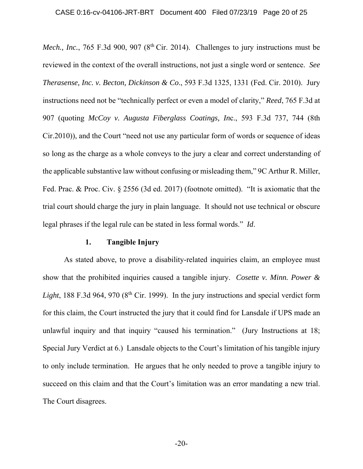*Mech., Inc.*, 765 F.3d 900, 907 (8<sup>th</sup> Cir. 2014). Challenges to jury instructions must be reviewed in the context of the overall instructions, not just a single word or sentence. *See Therasense, Inc. v. Becton, Dickinson & Co*., 593 F.3d 1325, 1331 (Fed. Cir. 2010). Jury instructions need not be "technically perfect or even a model of clarity," *Reed*, 765 F.3d at 907 (quoting *McCoy v. Augusta Fiberglass Coatings, In*c., 593 F.3d 737, 744 (8th Cir.2010)), and the Court "need not use any particular form of words or sequence of ideas so long as the charge as a whole conveys to the jury a clear and correct understanding of the applicable substantive law without confusing or misleading them," 9C Arthur R. Miller, Fed. Prac. & Proc. Civ. § 2556 (3d ed. 2017) (footnote omitted). "It is axiomatic that the trial court should charge the jury in plain language. It should not use technical or obscure legal phrases if the legal rule can be stated in less formal words." *Id*.

## **1. Tangible Injury**

As stated above, to prove a disability-related inquiries claim, an employee must show that the prohibited inquiries caused a tangible injury. *Cosette v. Minn. Power &*  Light, 188 F.3d 964, 970 (8<sup>th</sup> Cir. 1999). In the jury instructions and special verdict form for this claim, the Court instructed the jury that it could find for Lansdale if UPS made an unlawful inquiry and that inquiry "caused his termination." (Jury Instructions at 18; Special Jury Verdict at 6.) Lansdale objects to the Court's limitation of his tangible injury to only include termination. He argues that he only needed to prove a tangible injury to succeed on this claim and that the Court's limitation was an error mandating a new trial. The Court disagrees.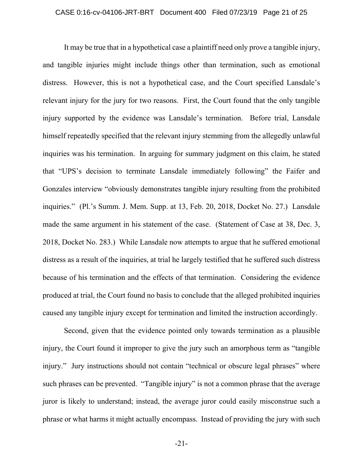It may be true that in a hypothetical case a plaintiff need only prove a tangible injury, and tangible injuries might include things other than termination, such as emotional distress. However, this is not a hypothetical case, and the Court specified Lansdale's relevant injury for the jury for two reasons. First, the Court found that the only tangible injury supported by the evidence was Lansdale's termination. Before trial, Lansdale himself repeatedly specified that the relevant injury stemming from the allegedly unlawful inquiries was his termination. In arguing for summary judgment on this claim, he stated that "UPS's decision to terminate Lansdale immediately following" the Faifer and Gonzales interview "obviously demonstrates tangible injury resulting from the prohibited inquiries." (Pl.'s Summ. J. Mem. Supp. at 13, Feb. 20, 2018, Docket No. 27.) Lansdale made the same argument in his statement of the case. (Statement of Case at 38, Dec. 3, 2018, Docket No. 283.) While Lansdale now attempts to argue that he suffered emotional distress as a result of the inquiries, at trial he largely testified that he suffered such distress because of his termination and the effects of that termination. Considering the evidence produced at trial, the Court found no basis to conclude that the alleged prohibited inquiries caused any tangible injury except for termination and limited the instruction accordingly.

Second, given that the evidence pointed only towards termination as a plausible injury, the Court found it improper to give the jury such an amorphous term as "tangible injury." Jury instructions should not contain "technical or obscure legal phrases" where such phrases can be prevented. "Tangible injury" is not a common phrase that the average juror is likely to understand; instead, the average juror could easily misconstrue such a phrase or what harms it might actually encompass. Instead of providing the jury with such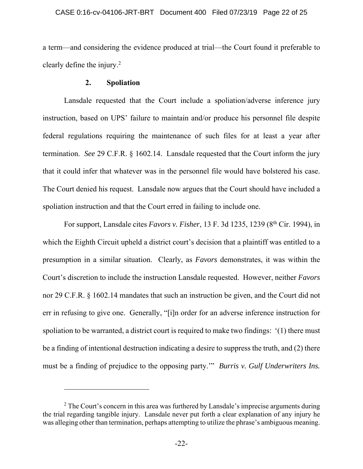a term—and considering the evidence produced at trial—the Court found it preferable to clearly define the injury.2

### **2. Spoliation**

 $\overline{a}$ 

Lansdale requested that the Court include a spoliation/adverse inference jury instruction, based on UPS' failure to maintain and/or produce his personnel file despite federal regulations requiring the maintenance of such files for at least a year after termination. *See* 29 C.F.R. § 1602.14. Lansdale requested that the Court inform the jury that it could infer that whatever was in the personnel file would have bolstered his case. The Court denied his request. Lansdale now argues that the Court should have included a spoliation instruction and that the Court erred in failing to include one.

For support, Lansdale cites *Favors v. Fisher*, 13 F. 3d 1235, 1239 (8th Cir. 1994), in which the Eighth Circuit upheld a district court's decision that a plaintiff was entitled to a presumption in a similar situation. Clearly, as *Favors* demonstrates, it was within the Court's discretion to include the instruction Lansdale requested. However, neither *Favors* nor 29 C.F.R. § 1602.14 mandates that such an instruction be given, and the Court did not err in refusing to give one. Generally, "[i]n order for an adverse inference instruction for spoliation to be warranted, a district court is required to make two findings: '(1) there must be a finding of intentional destruction indicating a desire to suppress the truth, and (2) there must be a finding of prejudice to the opposing party.'" *Burris v. Gulf Underwriters Ins.* 

 $2$  The Court's concern in this area was furthered by Lansdale's imprecise arguments during the trial regarding tangible injury. Lansdale never put forth a clear explanation of any injury he was alleging other than termination, perhaps attempting to utilize the phrase's ambiguous meaning.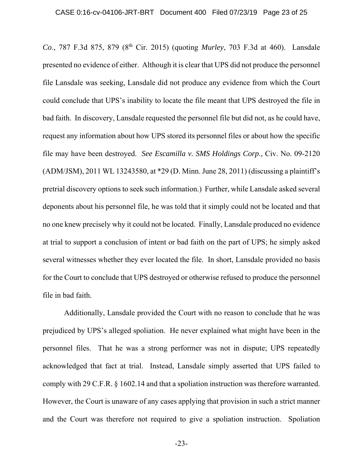*Co.*, 787 F.3d 875, 879 (8<sup>th</sup> Cir. 2015) (quoting *Murley*, 703 F.3d at 460). Lansdale presented no evidence of either. Although it is clear that UPS did not produce the personnel file Lansdale was seeking, Lansdale did not produce any evidence from which the Court could conclude that UPS's inability to locate the file meant that UPS destroyed the file in bad faith. In discovery, Lansdale requested the personnel file but did not, as he could have, request any information about how UPS stored its personnel files or about how the specific file may have been destroyed. *See Escamilla v. SMS Holdings Corp*., Civ. No. 09-2120 (ADM/JSM), 2011 WL 13243580, at \*29 (D. Minn. June 28, 2011) (discussing a plaintiff's pretrial discovery options to seek such information.) Further, while Lansdale asked several deponents about his personnel file, he was told that it simply could not be located and that no one knew precisely why it could not be located. Finally, Lansdale produced no evidence at trial to support a conclusion of intent or bad faith on the part of UPS; he simply asked several witnesses whether they ever located the file. In short, Lansdale provided no basis for the Court to conclude that UPS destroyed or otherwise refused to produce the personnel file in bad faith.

Additionally, Lansdale provided the Court with no reason to conclude that he was prejudiced by UPS's alleged spoliation. He never explained what might have been in the personnel files. That he was a strong performer was not in dispute; UPS repeatedly acknowledged that fact at trial. Instead, Lansdale simply asserted that UPS failed to comply with 29 C.F.R. § 1602.14 and that a spoliation instruction was therefore warranted. However, the Court is unaware of any cases applying that provision in such a strict manner and the Court was therefore not required to give a spoliation instruction. Spoliation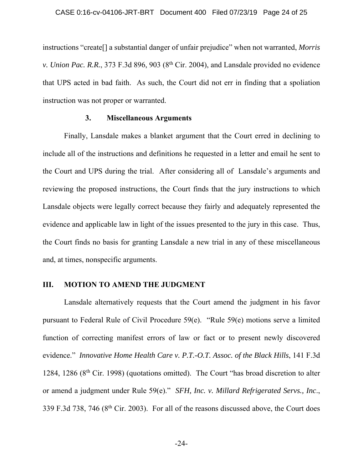instructions "create[] a substantial danger of unfair prejudice" when not warranted, *Morris v. Union Pac. R.R.*, 373 F.3d 896, 903 (8<sup>th</sup> Cir. 2004), and Lansdale provided no evidence that UPS acted in bad faith. As such, the Court did not err in finding that a spoliation instruction was not proper or warranted.

## **3. Miscellaneous Arguments**

Finally, Lansdale makes a blanket argument that the Court erred in declining to include all of the instructions and definitions he requested in a letter and email he sent to the Court and UPS during the trial. After considering all of Lansdale's arguments and reviewing the proposed instructions, the Court finds that the jury instructions to which Lansdale objects were legally correct because they fairly and adequately represented the evidence and applicable law in light of the issues presented to the jury in this case. Thus, the Court finds no basis for granting Lansdale a new trial in any of these miscellaneous and, at times, nonspecific arguments.

## **III. MOTION TO AMEND THE JUDGMENT**

Lansdale alternatively requests that the Court amend the judgment in his favor pursuant to Federal Rule of Civil Procedure 59(e). "Rule 59(e) motions serve a limited function of correcting manifest errors of law or fact or to present newly discovered evidence." *Innovative Home Health Care v. P.T.-O.T. Assoc. of the Black Hills*, 141 F.3d 1284, 1286 ( $8<sup>th</sup>$  Cir. 1998) (quotations omitted). The Court "has broad discretion to alter or amend a judgment under Rule 59(e)." *SFH, Inc. v. Millard Refrigerated Servs., Inc*., 339 F.3d 738, 746 (8<sup>th</sup> Cir. 2003). For all of the reasons discussed above, the Court does